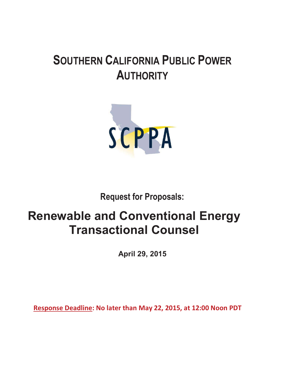# **SOUTHERN CALIFORNIA PUBLIC POWER AUTHORITY**



**Request for Proposals:** 

# **Renewable and Conventional Energy Transactional Counsel**

**April 29, 2015** 

**Response Deadline: No later than May 22, 2015, at 12:00 Noon PDT**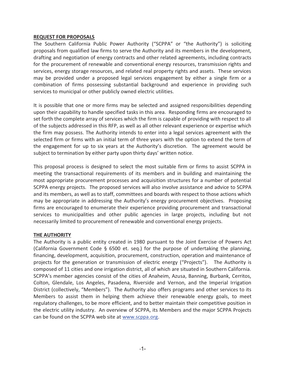#### **REQUEST FOR PROPOSALS**

The Southern California Public Power Authority ("SCPPA" or "the Authority") is soliciting proposals from qualified law firms to serve the Authority and its members in the development, drafting and negotiation of energy contracts and other related agreements, including contracts for the procurement of renewable and conventional energy resources, transmission rights and services, energy storage resources, and related real property rights and assets. These services may be provided under a proposed legal services engagement by either a single firm or a combination of firms possessing substantial background and experience in providing such services to municipal or other publicly owned electric utilities.

It is possible that one or more firms may be selected and assigned responsibilities depending upon their capability to handle specified tasks in this area. Responding firms are encouraged to set forth the complete array of services which the firm is capable of providing with respect to all of the subjects addressed in this RFP, as well as all other relevant experience or expertise which the firm may possess. The Authority intends to enter into a legal services agreement with the selected firm or firms with an initial term of three years with the option to extend the term of the engagement for up to six years at the Authority's discretion. The agreement would be subject to termination by either party upon thirty days' written notice.

This proposal process is designed to select the most suitable firm or firms to assist SCPPA in meeting the transactional requirements of its members and in building and maintaining the most appropriate procurement processes and acquisition structures for a number of potential SCPPA energy projects. The proposed services will also involve assistance and advice to SCPPA and its members, as well as to staff, committees and boards with respect to those actions which may be appropriate in addressing the Authority's energy procurement objectives. Proposing firms are encouraged to enumerate their experience providing procurement and transactional services to municipalities and other public agencies in large projects, including but not necessarily limited to procurement of renewable and conventional energy projects.

## **THE AUTHORITY**

The Authority is a public entity created in 1980 pursuant to the Joint Exercise of Powers Act (California Government Code § 6500 et. seq.) for the purpose of undertaking the planning, financing, development, acquisition, procurement, construction, operation and maintenance of projects for the generation or transmission of electric energy ("Projects"). The Authority is composed of 11 cities and one irrigation district, all of which are situated in Southern California. SCPPA's member agencies consist of the cities of Anaheim, Azusa, Banning, Burbank, Cerritos, Colton, Glendale, Los Angeles, Pasadena, Riverside and Vernon, and the Imperial Irrigation District (collectively, "Members"). The Authority also offers programs and other services to its Members to assist them in helping them achieve their renewable energy goals, to meet regulatory challenges, to be more efficient, and to better maintain their competitive position in the electric utility industry. An overview of SCPPA, its Members and the major SCPPA Projects can be found on the SCPPA web site at www.scppa.org.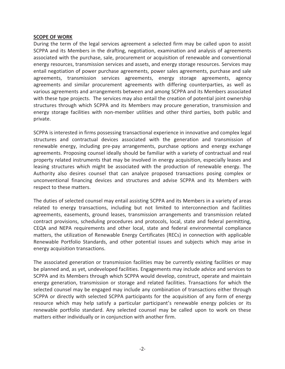#### **SCOPE OF WORK**

During the term of the legal services agreement a selected firm may be called upon to assist SCPPA and its Members in the drafting, negotiation, examination and analysis of agreements associated with the purchase, sale, procurement or acquisition of renewable and conventional energy resources, transmission services and assets, and energy storage resources. Services may entail negotiation of power purchase agreements, power sales agreements, purchase and sale agreements, transmission services agreements, energy storage agreements, agency agreements and similar procurement agreements with differing counterparties, as well as various agreements and arrangements between and among SCPPA and its Members associated with these type projects. The services may also entail the creation of potential joint ownership structures through which SCPPA and its Members may procure generation, transmission and energy storage facilities with non-member utilities and other third parties, both public and private.

SCPPA is interested in firms possessing transactional experience in innovative and complex legal structures and contractual devices associated with the generation and transmission of renewable energy, including pre-pay arrangements, purchase options and energy exchange agreements. Proposing counsel ideally should be familiar with a variety of contractual and real property related instruments that may be involved in energy acquisition, especially leases and leasing structures which might be associated with the production of renewable energy. The Authority also desires counsel that can analyze proposed transactions posing complex or unconventional financing devices and structures and advise SCPPA and its Members with respect to these matters.

The duties of selected counsel may entail assisting SCPPA and its Members in a variety of areas related to energy transactions, including but not limited to interconnection and facilities agreements, easements, ground leases, transmission arrangements and transmission related contract provisions, scheduling procedures and protocols, local, state and federal permitting, CEQA and NEPA requirements and other local, state and federal environmental compliance matters, the utilization of Renewable Energy Certificates (RECs) in connection with applicable Renewable Portfolio Standards, and other potential issues and subjects which may arise in energy acquisition transactions.

The associated generation or transmission facilities may be currently existing facilities or may be planned and, as yet, undeveloped facilities. Engagements may include advice and services to SCPPA and its Members through which SCPPA would develop, construct, operate and maintain energy generation, transmission or storage and related facilities. Transactions for which the selected counsel may be engaged may include any combination of transactions either through SCPPA or directly with selected SCPPA participants for the acquisition of any form of energy resource which may help satisfy a particular participant's renewable energy policies or its renewable portfolio standard. Any selected counsel may be called upon to work on these matters either individually or in conjunction with another firm.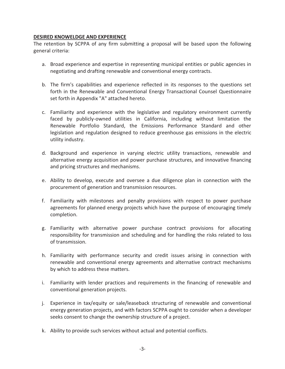## **DESIRED KNOWELDGE AND EXPERIENCE**

The retention by SCPPA of any firm submitting a proposal will be based upon the following general criteria:

- a. Broad experience and expertise in representing municipal entities or public agencies in negotiating and drafting renewable and conventional energy contracts.
- b. The firm's capabilities and experience reflected in its responses to the questions set forth in the Renewable and Conventional Energy Transactional Counsel Questionnaire set forth in Appendix "A" attached hereto.
- c. Familiarity and experience with the legislative and regulatory environment currently faced by publicly-owned utilities in California, including without limitation the Renewable Portfolio Standard, the Emissions Performance Standard and other legislation and regulation designed to reduce greenhouse gas emissions in the electric utility industry.
- d. Background and experience in varying electric utility transactions, renewable and alternative energy acquisition and power purchase structures, and innovative financing and pricing structures and mechanisms.
- e. Ability to develop, execute and oversee a due diligence plan in connection with the procurement of generation and transmission resources.
- f. Familiarity with milestones and penalty provisions with respect to power purchase agreements for planned energy projects which have the purpose of encouraging timely completion.
- g. Familiarity with alternative power purchase contract provisions for allocating responsibility for transmission and scheduling and for handling the risks related to loss of transmission.
- h. Familiarity with performance security and credit issues arising in connection with renewable and conventional energy agreements and alternative contract mechanisms by which to address these matters.
- i. Familiarity with lender practices and requirements in the financing of renewable and conventional generation projects.
- j. Experience in tax/equity or sale/leaseback structuring of renewable and conventional energy generation projects, and with factors SCPPA ought to consider when a developer seeks consent to change the ownership structure of a project.
- k. Ability to provide such services without actual and potential conflicts.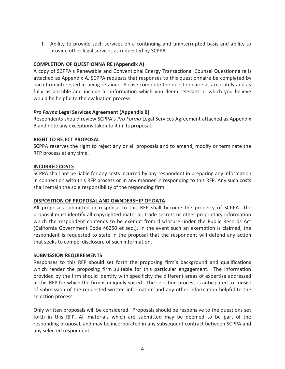l. Ability to provide such services on a continuing and uninterrupted basis and ability to provide other legal services as requested by SCPPA.

## **COMPLETION OF QUESTIONNAIRE (Appendix A)**

A copy of SCPPA's Renewable and Conventional Energy Transactional Counsel Questionnaire is attached as Appendix A. SCPPA requests that responses to this questionnaire be completed by each firm interested in being retained. Please complete the questionnaire as accurately and as fully as possible and include all information which you deem relevant or which you believe would be helpful to the evaluation process.

## *Pro Forma* **Legal Services Agreement (Appendix B)**

Respondents should review SCPPA's *Pro Forma* Legal Services Agreement attached as Appendix B and note any exceptions taken to it in its proposal.

## **RIGHT TO REJECT PROPOSAL**

SCPPA reserves the right to reject any or all proposals and to amend, modify or terminate the RFP process at any time.

## **INCURRED COSTS**

SCPPA shall not be liable for any costs incurred by any respondent in preparing any information in connection with this RFP process or in any manner in responding to this RFP. Any such costs shall remain the sole responsibility of the responding firm.

## **DISPOSITION OF PROPOSAL AND OWNDERSHIP OF DATA**

All proposals submitted in response to this RFP shall become the property of SCPPA. The proposal must identify all copyrighted material, trade secrets or other proprietary information which the respondent contends to be exempt from disclosure under the Public Records Act (California Government Code §6250 et seq.). In the event such an exemption is claimed, the respondent is requested to state in the proposal that the respondent will defend any action that seeks to compel disclosure of such information.

## **SUBMISSION REQUIREMENTS**

Responses to this RFP should set forth the proposing firm's background and qualifications which render the proposing firm suitable for this particular engagement. The information provided by the firm should identify with specificity the different areas of expertise addressed in this RFP for which the firm is uniquely suited. The selection process is anticipated to consist of submission of the requested written information and any other information helpful to the selection process. .

Only written proposals will be considered. Proposals should be responsive to the questions set forth in this RFP. All materials which are submitted may be deemed to be part of the responding proposal, and may be incorporated in any subsequent contract between SCPPA and any selected respondent.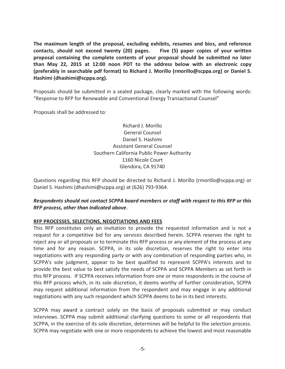**The maximum length of the proposal, excluding exhibits, resumes and bios, and reference contacts, should not exceed twenty (20) pages. Five (5) paper copies of your written proposal containing the complete contents of your proposal should be submitted no later than May 22, 2015 at 12:00 noon PDT to the address below with an electronic copy (preferably in searchable pdf format) to Richard J. Morillo (rmorillo@scppa.org) or Daniel S. Hashimi (dhashimi@scppa.org).**

Proposals should be submitted in a sealed package, clearly marked with the following words: "Response to RFP for Renewable and Conventional Energy Transactional Counsel"

Proposals shall be addressed to:

Richard J. Morillo General Counsel Daniel S. Hashimi Assistant General Counsel Southern California Public Power Authority 1160 Nicole Court Glendora, CA 91740

Questions regarding this RFP should be directed to Richard J. Morillo (rmorillo@scppa.org) or Daniel S. Hashimi (dhashimi@scppa.org) at (626) 793-9364.

## *Respondents should not contact SCPPA board members or staff with respect to this RFP or this RFP process, other than indicated above.*

## **RFP PROCESSES, SELECTIONS, NEGOTIATIONS AND FEES**

This RFP constitutes only an invitation to provide the requested information and is not a request for a competitive bid for any services described herein. SCPPA reserves the right to reject any or all proposals or to terminate this RFP process or any element of the process at any time and for any reason. SCPPA, in its sole discretion, reserves the right to enter into negotiations with any responding party or with any combination of responding parties who, in SCPPA's sole judgment, appear to be best qualified to represent SCPPA's interests and to provide the best value to best satisfy the needs of SCPPA and SCPPA Members as set forth in this RFP process. If SCPPA receives information from one or more respondents in the course of this RFP process which, in its sole discretion, it deems worthy of further consideration, SCPPA may request additional information from the respondent and may engage in any additional negotiations with any such respondent which SCPPA deems to be in its best interests.

SCPPA may award a contract solely on the basis of proposals submitted or may conduct interviews. SCPPA may submit additional clarifying questions to some or all respondents that SCPPA, in the exercise of its sole discretion, determines will be helpful to the selection process. SCPPA may negotiate with one or more respondents to achieve the lowest and most reasonable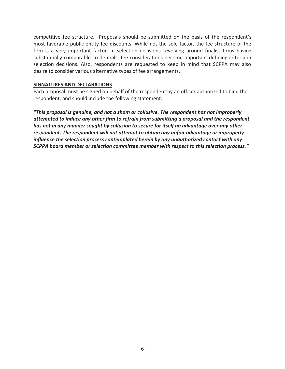competitive fee structure. Proposals should be submitted on the basis of the respondent's most favorable public entity fee discounts. While not the sole factor, the fee structure of the firm is a very important factor. In selection decisions revolving around finalist firms having substantially comparable credentials, fee considerations become important defining criteria in selection decisions. Also, respondents are requested to keep in mind that SCPPA may also desire to consider various alternative types of fee arrangements.

## **SIGNATURES AND DECLARATIONS**

Each proposal must be signed on behalf of the respondent by an officer authorized to bind the respondent, and should include the following statement:

*"This proposal is genuine, and not a sham or collusive. The respondent has not improperly attempted to induce any other firm to refrain from submitting a proposal and the respondent has not in any manner sought by collusion to secure for itself an advantage over any other respondent. The respondent will not attempt to obtain any unfair advantage or improperly influence the selection process contemplated herein by any unauthorized contact with any SCPPA board member or selection committee member with respect to this selection process."*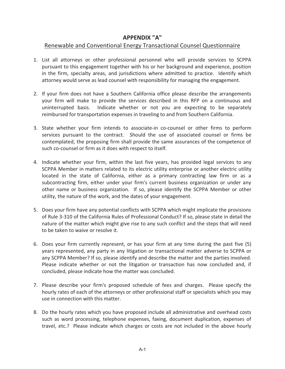# **APPENDIX "A"**

# Renewable and Conventional Energy Transactional Counsel Questionnaire

- 1. List all attorneys or other professional personnel who will provide services to SCPPA pursuant to this engagement together with his or her background and experience, position in the firm, specialty areas, and jurisdictions where admitted to practice. Identify which attorney would serve as lead counsel with responsibility for managing the engagement.
- 2. If your firm does not have a Southern California office please describe the arrangements your firm will make to provide the services described in this RFP on a continuous and uninterrupted basis. Indicate whether or not you are expecting to be separately reimbursed for transportation expenses in traveling to and from Southern California.
- 3. State whether your firm intends to associate-in co-counsel or other firms to perform services pursuant to the contract. Should the use of associated counsel or firms be contemplated, the proposing firm shall provide the same assurances of the competence of such co-counsel or firm as it does with respect to itself.
- 4. Indicate whether your firm, within the last five years, has provided legal services to any SCPPA Member in matters related to its electric utility enterprise or another electric utility located in the state of California, either as a primary contracting law firm or as a subcontracting firm, either under your firm's current business organization or under any other name or business organization. If so, please identify the SCPPA Member or other utility, the nature of the work, and the dates of your engagement.
- 5. Does your firm have any potential conflicts with SCPPA which might implicate the provisions of Rule 3-310 of the California Rules of Professional Conduct? If so, please state in detail the nature of the matter which might give rise to any such conflict and the steps that will need to be taken to waive or resolve it.
- 6. Does your firm currently represent, or has your firm at any time during the past five (5) years represented, any party in any litigation or transactional matter adverse to SCPPA or any SCPPA Member? If so, please identify and describe the matter and the parties involved. Please indicate whether or not the litigation or transaction has now concluded and, if concluded, please indicate how the matter was concluded.
- 7. Please describe your firm's proposed schedule of fees and charges. Please specify the hourly rates of each of the attorneys or other professional staff or specialists which you may use in connection with this matter.
- 8. Do the hourly rates which you have proposed include all administrative and overhead costs such as word processing, telephone expenses, faxing, document duplication, expenses of travel, etc.? Please indicate which charges or costs are not included in the above hourly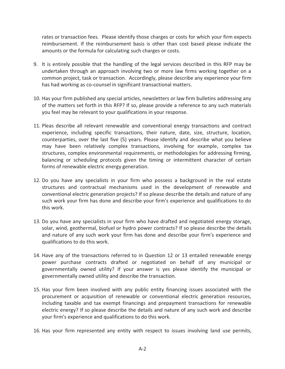rates or transaction fees. Please identify those charges or costs for which your firm expects reimbursement. If the reimbursement basis is other than cost based please indicate the amounts or the formula for calculating such charges or costs.

- 9. It is entirely possible that the handling of the legal services described in this RFP may be undertaken through an approach involving two or more law firms working together on a common project, task or transaction. Accordingly, please describe any experience your firm has had working as co-counsel in significant transactional matters.
- 10. Has your firm published any special articles, newsletters or law firm bulletins addressing any of the matters set forth in this RFP? If so, please provide a reference to any such materials you feel may be relevant to your qualifications in your response.
- 11. Pleas describe all relevant renewable and conventional energy transactions and contract experience, including specific transactions, their nature, date, size, structure, location, counterparties, over the last five (5) years. Please identify and describe what you believe may have been relatively complex transactions, involving for example, complex tax structures, complex environmental requirements, or methodologies for addressing firming, balancing or scheduling protocols given the timing or intermittent character of certain forms of renewable electric energy generation.
- 12. Do you have any specialists in your firm who possess a background in the real estate structures and contractual mechanisms used in the development of renewable and conventional electric generation projects? If so please describe the details and nature of any such work your firm has done and describe your firm's experience and qualifications to do this work.
- 13. Do you have any specialists in your firm who have drafted and negotiated energy storage, solar, wind, geothermal, biofuel or hydro power contracts? If so please describe the details and nature of any such work your firm has done and describe your firm's experience and qualifications to do this work.
- 14. Have any of the transactions referred to in Question 12 or 13 entailed renewable energy power purchase contracts drafted or negotiated on behalf of any municipal or governmentally owned utility? If your answer is yes please identify the municipal or governmentally owned utility and describe the transaction.
- 15. Has your firm been involved with any public entity financing issues associated with the procurement or acquisition of renewable or conventional electric generation resources, including taxable and tax exempt financings and prepayment transactions for renewable electric energy? If so please describe the details and nature of any such work and describe your firm's experience and qualifications to do this work.
- 16. Has your firm represented any entity with respect to issues involving land use permits,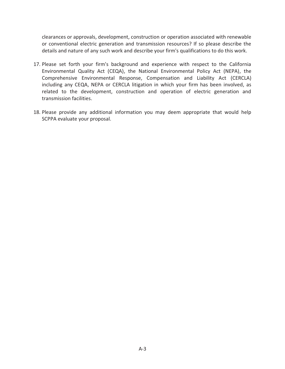clearances or approvals, development, construction or operation associated with renewable or conventional electric generation and transmission resources? If so please describe the details and nature of any such work and describe your firm's qualifications to do this work.

- 17. Please set forth your firm's background and experience with respect to the California Environmental Quality Act (CEQA), the National Environmental Policy Act (NEPA), the Comprehensive Environmental Response, Compensation and Liability Act (CERCLA) including any CEQA, NEPA or CERCLA litigation in which your firm has been involved, as related to the development, construction and operation of electric generation and transmission facilities.
- 18. Please provide any additional information you may deem appropriate that would help SCPPA evaluate your proposal.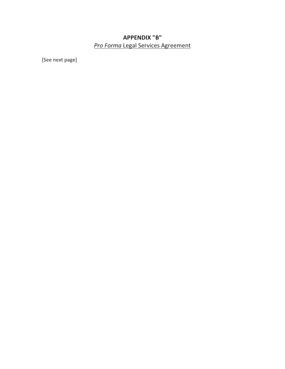# **APPENDIX "B"**  *Pro Forma* Legal Services Agreement

[See next page]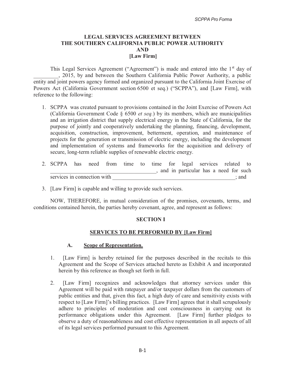## **LEGAL SERVICES AGREEMENT BETWEEN THE SOUTHERN CALIFORNIA PUBLIC POWER AUTHORITY AND [Law Firm]**

This Legal Services Agreement ("Agreement") is made and entered into the 1<sup>st</sup> day of \_\_\_\_\_\_\_\_\_, 2015, by and between the Southern California Public Power Authority, a public entity and joint powers agency formed and organized pursuant to the California Joint Exercise of Powers Act (California Government section 6500 et seq.) ("SCPPA"), and [Law Firm], with reference to the following:

- 1. SCPPA was created pursuant to provisions contained in the Joint Exercise of Powers Act (California Government Code § 6500 *et seq.*) by its members, which are municipalities and an irrigation district that supply electrical energy in the State of California, for the purpose of jointly and cooperatively undertaking the planning, financing, development, acquisition, construction, improvement, betterment, operation, and maintenance of projects for the generation or transmission of electric energy, including the development and implementation of systems and frameworks for the acquisition and delivery of secure, long-term reliable supplies of renewable electric energy.
- 2. SCPPA has need from time to time for legal services related to \_\_\_\_\_\_\_\_\_\_\_\_\_\_\_\_\_\_\_\_\_\_\_\_\_\_\_\_\_\_\_\_\_\_\_\_\_\_, and in particular has a need for such services in connection with  $\ddot{\mathbf{r}}$ ; and
- 3. [Law Firm] is capable and willing to provide such services.

NOW, THEREFORE, in mutual consideration of the promises, covenants, terms, and conditions contained herein, the parties hereby covenant, agree, and represent as follows:

## **SECTION I**

## **SERVICES TO BE PERFORMED BY [Law Firm]**

## **A. Scope of Representation.**

- 1. [Law Firm] is hereby retained for the purposes described in the recitals to this Agreement and the Scope of Services attached hereto as Exhibit A and incorporated herein by this reference as though set forth in full.
- 2. [Law Firm] recognizes and acknowledges that attorney services under this Agreement will be paid with ratepayer and/or taxpayer dollars from the customers of public entities and that, given this fact, a high duty of care and sensitivity exists with respect to [Law Firm]'s billing practices. [Law Firm] agrees that it shall scrupulously adhere to principles of moderation and cost consciousness in carrying out its performance obligations under this Agreement. [Law Firm] further pledges to observe a duty of reasonableness and cost effective representation in all aspects of all of its legal services performed pursuant to this Agreement.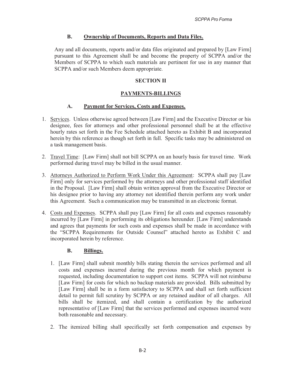## **B. Ownership of Documents, Reports and Data Files.**

Any and all documents, reports and/or data files originated and prepared by [Law Firm] pursuant to this Agreement shall be and become the property of SCPPA and/or the Members of SCPPA to which such materials are pertinent for use in any manner that SCPPA and/or such Members deem appropriate.

## **SECTION II**

# **PAYMENTS-BILLINGS**

## **A. Payment for Services, Costs and Expenses.**

- 1. Services. Unless otherwise agreed between [Law Firm] and the Executive Director or his designee, fees for attorneys and other professional personnel shall be at the effective hourly rates set forth in the Fee Schedule attached hereto as Exhibit B and incorporated herein by this reference as though set forth in full. Specific tasks may be administered on a task management basis.
- 2. Travel Time: [Law Firm] shall not bill SCPPA on an hourly basis for travel time. Work performed during travel may be billed in the usual manner.
- 3. Attorneys Authorized to Perform Work Under this Agreement: SCPPA shall pay [Law Firm] only for services performed by the attorneys and other professional staff identified in the Proposal. [Law Firm] shall obtain written approval from the Executive Director or his designee prior to having any attorney not identified therein perform any work under this Agreement. Such a communication may be transmitted in an electronic format.
- 4. Costs and Expenses. SCPPA shall pay [Law Firm] for all costs and expenses reasonably incurred by [Law Firm] in performing its obligations hereunder. [Law Firm] understands and agrees that payments for such costs and expenses shall be made in accordance with the "SCPPA Requirements for Outside Counsel" attached hereto as Exhibit C and incorporated herein by reference.

## **B. Billings.**

- 1. [Law Firm] shall submit monthly bills stating therein the services performed and all costs and expenses incurred during the previous month for which payment is requested, including documentation to support cost items. SCPPA will not reimburse [Law Firm] for costs for which no backup materials are provided. Bills submitted by [Law Firm] shall be in a form satisfactory to SCPPA and shall set forth sufficient detail to permit full scrutiny by SCPPA or any retained auditor of all charges. All bills shall be itemized, and shall contain a certification by the authorized representative of [Law Firm] that the services performed and expenses incurred were both reasonable and necessary.
- 2. The itemized billing shall specifically set forth compensation and expenses by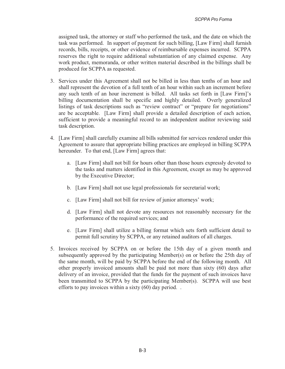assigned task, the attorney or staff who performed the task, and the date on which the task was performed. In support of payment for such billing, [Law Firm] shall furnish records, bills, receipts, or other evidence of reimbursable expenses incurred. SCPPA reserves the right to require additional substantiation of any claimed expense. Any work product, memoranda, or other written material described in the billings shall be produced for SCPPA as requested.

- 3. Services under this Agreement shall not be billed in less than tenths of an hour and shall represent the devotion of a full tenth of an hour within such an increment before any such tenth of an hour increment is billed. All tasks set forth in [Law Firm]'s billing documentation shall be specific and highly detailed. Overly generalized listings of task descriptions such as "review contract" or "prepare for negotiations" are be acceptable. [Law Firm] shall provide a detailed description of each action, sufficient to provide a meaningful record to an independent auditor reviewing said task description.
- 4. [Law Firm] shall carefully examine all bills submitted for services rendered under this Agreement to assure that appropriate billing practices are employed in billing SCPPA hereunder. To that end, [Law Firm] agrees that:
	- a. [Law Firm] shall not bill for hours other than those hours expressly devoted to the tasks and matters identified in this Agreement, except as may be approved by the Executive Director;
	- b. [Law Firm] shall not use legal professionals for secretarial work;
	- c. [Law Firm] shall not bill for review of junior attorneys' work;
	- d. [Law Firm] shall not devote any resources not reasonably necessary for the performance of the required services; and
	- e. [Law Firm] shall utilize a billing format which sets forth sufficient detail to permit full scrutiny by SCPPA, or any retained auditors of all charges.
- 5. Invoices received by SCPPA on or before the 15th day of a given month and subsequently approved by the participating Member(s) on or before the 25th day of the same month, will be paid by SCPPA before the end of the following month. All other properly invoiced amounts shall be paid not more than sixty (60) days after delivery of an invoice, provided that the funds for the payment of such invoices have been transmitted to SCPPA by the participating Member(s). SCPPA will use best efforts to pay invoices within a sixty (60) day period. .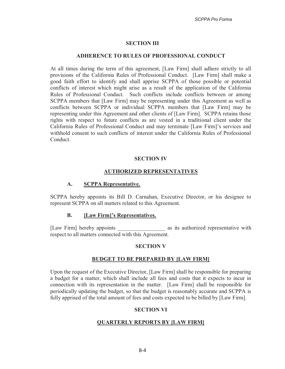## **SECTION III**

#### **ADHERENCE TO RULES OF PROFESSIONAL CONDUCT**

At all times during the term of this agreement, [Law Firm] shall adhere strictly to all provisions of the California Rules of Professional Conduct. [Law Firm] shall make a good faith effort to identify and shall apprise SCPPA of those possible or potential conflicts of interest which might arise as a result of the application of the California Rules of Professional Conduct. Such conflicts include conflicts between or among SCPPA members that [Law Firm] may be representing under this Agreement as well as conflicts between SCPPA or individual SCPPA members that [Law Firm] may be representing under this Agreement and other clients of [Law Firm]. SCPPA retains those rights with respect to future conflicts as are vested in a traditional client under the California Rules of Professional Conduct and may terminate [Law Firm]'s services and withhold consent to such conflicts of interest under the California Rules of Professional Conduct.

## **SECTION IV**

## **AUTHORIZED REPRESENTATIVES**

## **A. SCPPA Representative.**

SCPPA hereby appoints its Bill D. Carnahan, Executive Director, or his designee to represent SCPPA on all matters related to this Agreement.

## **B. [Law Firm]'s Representatives.**

[Law Firm] hereby appoints as its authorized representative with respect to all matters connected with this Agreement.

## **SECTION V**

## **BUDGET TO BE PREPARED BY [LAW FIRM]**

Upon the request of the Executive Director, [Law Firm] shall be responsible for preparing a budget for a matter, which shall include all fees and costs that it expects to incur in connection with its representation in the matter. [Law Firm] shall be responsible for periodically updating the budget, so that the budget is reasonably accurate and SCPPA is fully apprised of the total amount of fees and costs expected to be billed by [Law Firm].

## **SECTION VI**

## **QUARTERLY REPORTS BY [LAW FIRM]**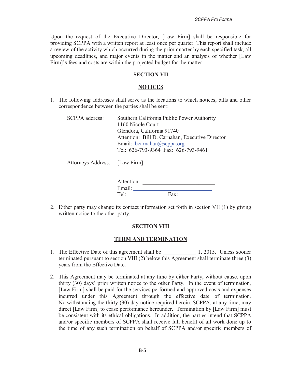Upon the request of the Executive Director, [Law Firm] shall be responsible for providing SCPPA with a written report at least once per quarter. This report shall include a review of the activity which occurred during the prior quarter by each specified task, all upcoming deadlines, and major events in the matter and an analysis of whether [Law Firm]'s fees and costs are within the projected budget for the matter.

## **SECTION VII**

#### **NOTICES**

1. The following addresses shall serve as the locations to which notices, bills and other correspondence between the parties shall be sent:

| <b>SCPPA</b> address:         | Southern California Public Power Authority<br>1160 Nicole Court<br>Glendora, California 91740<br>Attention: Bill D. Carnahan, Executive Director<br>Email: $bcarnahan@scppa.org$<br>Tel: 626-793-9364 Fax: 626-793-9461 |
|-------------------------------|-------------------------------------------------------------------------------------------------------------------------------------------------------------------------------------------------------------------------|
| Attorneys Address: [Law Firm] |                                                                                                                                                                                                                         |

|        | Attention: |      |  |
|--------|------------|------|--|
| Email: |            |      |  |
| Tel.   |            | Fax: |  |

2. Either party may change its contact information set forth in section VII (1) by giving written notice to the other party.

#### **SECTION VIII**

#### **TERM AND TERMINATION**

- 1. The Effective Date of this agreement shall be  $1, 2015$ . Unless sooner terminated pursuant to section VIII (2) below this Agreement shall terminate three (3) years from the Effective Date.
- 2. This Agreement may be terminated at any time by either Party, without cause, upon thirty (30) days' prior written notice to the other Party. In the event of termination, [Law Firm] shall be paid for the services performed and approved costs and expenses incurred under this Agreement through the effective date of termination. Notwithstanding the thirty (30) day notice required herein, SCPPA, at any time, may direct [Law Firm] to cease performance hereunder. Termination by [Law Firm] must be consistent with its ethical obligations. In addition, the parties intend that SCPPA and/or specific members of SCPPA shall receive full benefit of all work done up to the time of any such termination on behalf of SCPPA and/or specific members of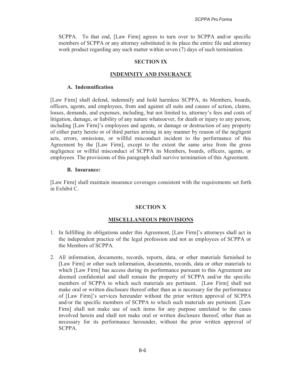SCPPA. To that end, [Law Firm] agrees to turn over to SCPPA and/or specific members of SCPPA or any attorney substituted in its place the entire file and attorney work product regarding any such matter within seven (7) days of such termination.

## **SECTION IX**

## **INDEMNITY AND INSURANCE**

## **A. Indemnification**

[Law Firm] shall defend, indemnify and hold harmless SCPPA, its Members, boards, officers, agents, and employees, from and against all suits and causes of action, claims, losses, demands, and expenses, including, but not limited to, attorney's fees and costs of litigation, damage, or liability of any nature whatsoever, for death or injury to any person, including [Law Firm]'s employees and agents, or damage or destruction of any property of either party hereto or of third parties arising in any manner by reason of the negligent acts, errors, omissions, or willful misconduct incident to the performance of this Agreement by the [Law Firm], except to the extent the same arise from the gross negligence or willful misconduct of SCPPA its Members, boards, officers, agents, or employees. The provisions of this paragraph shall survive termination of this Agreement.

## **B. Insurance:**

[Law Firm] shall maintain insurance coverages consistent with the requirements set forth in Exhibit C.

## **SECTION X**

## **MISCELLANEOUS PROVISIONS**

- 1. In fulfilling its obligations under this Agreement, [Law Firm]'s attorneys shall act in the independent practice of the legal profession and not as employees of SCPPA or the Members of SCPPA.
- 2. All information, documents, records, reports, data, or other materials furnished to [Law Firm] or other such information, documents, records, data or other materials to which [Law Firm] has access during its performance pursuant to this Agreement are deemed confidential and shall remain the property of SCPPA and/or the specific members of SCPPA to which such materials are pertinent. [Law Firm] shall not make oral or written disclosure thereof other than as is necessary for the performance of [Law Firm]'s services hereunder without the prior written approval of SCPPA and/or the specific members of SCPPA to which such materials are pertinent. [Law Firm] shall not make use of such items for any purpose unrelated to the cases involved herein and shall not make oral or written disclosure thereof, other than as necessary for its performance hereunder, without the prior written approval of SCPPA.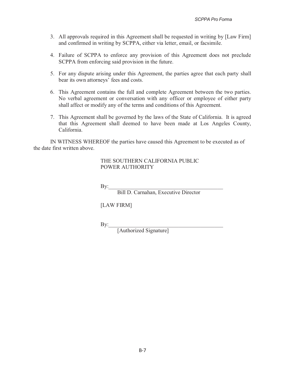- 3. All approvals required in this Agreement shall be requested in writing by [Law Firm] and confirmed in writing by SCPPA, either via letter, email, or facsimile.
- 4. Failure of SCPPA to enforce any provision of this Agreement does not preclude SCPPA from enforcing said provision in the future.
- 5. For any dispute arising under this Agreement, the parties agree that each party shall bear its own attorneys' fees and costs.
- 6. This Agreement contains the full and complete Agreement between the two parties. No verbal agreement or conversation with any officer or employee of either party shall affect or modify any of the terms and conditions of this Agreement.
- 7. This Agreement shall be governed by the laws of the State of California. It is agreed that this Agreement shall deemed to have been made at Los Angeles County, California.

IN WITNESS WHEREOF the parties have caused this Agreement to be executed as of the date first written above.

## THE SOUTHERN CALIFORNIA PUBLIC POWER AUTHORITY

 $\mathrm{By:}$ 

Bill D. Carnahan, Executive Director

[LAW FIRM]

 $\mathrm{By:}$ 

[Authorized Signature]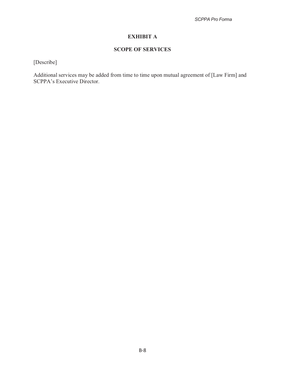# **EXHIBIT A**

# **SCOPE OF SERVICES**

[Describe]

Additional services may be added from time to time upon mutual agreement of [Law Firm] and SCPPA's Executive Director.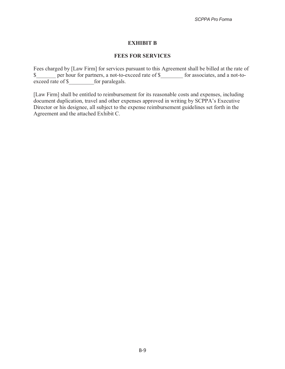## **EXHIBIT B**

## **FEES FOR SERVICES**

Fees charged by [Law Firm] for services pursuant to this Agreement shall be billed at the rate of \$\_\_\_\_\_ per hour for partners, a not-to-exceed rate of \$\_\_\_\_\_\_\_ for associates, and a not-to-exceed rate of \$  $\overline{\text{exceed rate of } }$ 

[Law Firm] shall be entitled to reimbursement for its reasonable costs and expenses, including document duplication, travel and other expenses approved in writing by SCPPA's Executive Director or his designee, all subject to the expense reimbursement guidelines set forth in the Agreement and the attached Exhibit C.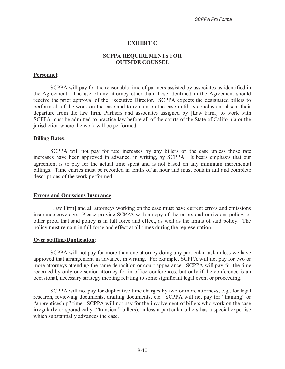## **EXHIBIT C**

## **SCPPA REQUIREMENTS FOR OUTSIDE COUNSEL**

## **Personnel**:

 SCPPA will pay for the reasonable time of partners assisted by associates as identified in the Agreement. The use of any attorney other than those identified in the Agreement should receive the prior approval of the Executive Director. SCPPA expects the designated billers to perform all of the work on the case and to remain on the case until its conclusion, absent their departure from the law firm. Partners and associates assigned by [Law Firm] to work with SCPPA must be admitted to practice law before all of the courts of the State of California or the jurisdiction where the work will be performed.

#### **Billing Rates**:

 SCPPA will not pay for rate increases by any billers on the case unless those rate increases have been approved in advance, in writing, by SCPPA. It bears emphasis that our agreement is to pay for the actual time spent and is not based on any minimum incremental billings. Time entries must be recorded in tenths of an hour and must contain full and complete descriptions of the work performed.

#### **Errors and Omissions Insurance**:

 [Law Firm] and all attorneys working on the case must have current errors and omissions insurance coverage. Please provide SCPPA with a copy of the errors and omissions policy, or other proof that said policy is in full force and effect, as well as the limits of said policy. The policy must remain in full force and effect at all times during the representation.

#### **Over staffing/Duplication**:

 SCPPA will not pay for more than one attorney doing any particular task unless we have approved that arrangement in advance, in writing. For example, SCPPA will not pay for two or more attorneys attending the same deposition or court appearance. SCPPA will pay for the time recorded by only one senior attorney for in-office conferences, but only if the conference is an occasional, necessary strategy meeting relating to some significant legal event or proceeding.

 SCPPA will not pay for duplicative time charges by two or more attorneys, e.g., for legal research, reviewing documents, drafting documents, etc. SCPPA will not pay for "training" or "apprenticeship" time. SCPPA will not pay for the involvement of billers who work on the case irregularly or sporadically ("transient" billers), unless a particular billers has a special expertise which substantially advances the case.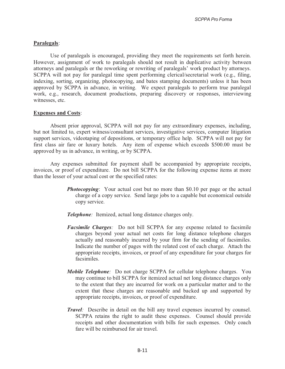## **Paralegals**:

 Use of paralegals is encouraged, providing they meet the requirements set forth herein. However, assignment of work to paralegals should not result in duplicative activity between attorneys and paralegals or the reworking or rewriting of paralegals' work product by attorneys. SCPPA will not pay for paralegal time spent performing clerical/secretarial work (e.g., filing, indexing, sorting, organizing, photocopying, and bates stamping documents) unless it has been approved by SCPPA in advance, in writing. We expect paralegals to perform true paralegal work, e.g., research, document productions, preparing discovery or responses, interviewing witnesses, etc.

#### **Expenses and Costs**:

 Absent prior approval, SCPPA will not pay for any extraordinary expenses, including, but not limited to, expert witness/consultant services, investigative services, computer litigation support services, videotaping of depositions, or temporary office help. SCPPA will not pay for first class air fare or luxury hotels. Any item of expense which exceeds \$500.00 must be approved by us in advance, in writing, or by SCPPA.

 Any expenses submitted for payment shall be accompanied by appropriate receipts, invoices, or proof of expenditure. Do not bill SCPPA for the following expense items at more than the lesser of your actual cost or the specified rates:

- *Photocopying*: Your actual cost but no more than \$0.10 per page or the actual charge of a copy service. Send large jobs to a capable but economical outside copy service.
- *Telephone:* Itemized, actual long distance charges only.
- *Facsimile Charges:* Do not bill SCPPA for any expense related to facsimile charges beyond your actual net costs for long distance telephone charges actually and reasonably incurred by your firm for the sending of facsimiles. Indicate the number of pages with the related cost of each charge. Attach the appropriate receipts, invoices, or proof of any expenditure for your charges for facsimiles.
- *Mobile Telephone:* Do not charge SCPPA for cellular telephone charges. You may continue to bill SCPPA for itemized actual net long distance charges only to the extent that they are incurred for work on a particular matter and to the extent that these charges are reasonable and backed up and supported by appropriate receipts, invoices, or proof of expenditure.
- *Travel:* Describe in detail on the bill any travel expenses incurred by counsel. SCPPA retains the right to audit these expenses. Counsel should provide receipts and other documentation with bills for such expenses. Only coach fare will be reimbursed for air travel.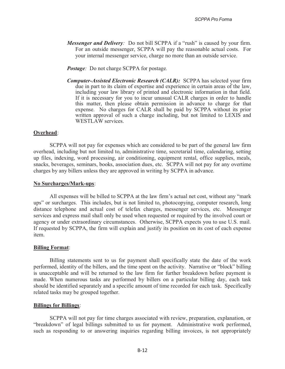- *Messenger and Delivery:* Do not bill SCPPA if a "rush" is caused by your firm. For an outside messenger, SCPPA will pay the reasonable actual costs. For your internal messenger service, charge no more than an outside service.
- *Postage:* Do not charge SCPPA for postage*.*
- *Computer-Assisted Electronic Research (CALR):* SCPPA has selected your firm due in part to its claim of expertise and experience in certain areas of the law, including your law library of printed and electronic information in that field. If it is necessary for you to incur unusual CALR charges in order to handle this matter, then please obtain permission in advance to charge for that expense. No charges for CALR shall be paid by SCPPA without its prior written approval of such a charge including, but not limited to LEXIS and WESTLAW services.

#### **Overhead**:

SCPPA will not pay for expenses which are considered to be part of the general law firm overhead, including but not limited to, administrative time, secretarial time, calendaring, setting up files, indexing, word processing, air conditioning, equipment rental, office supplies, meals, snacks, beverages, seminars, books, association dues, etc. SCPPA will not pay for any overtime charges by any billers unless they are approved in writing by SCPPA in advance.

#### **No Surcharges/Mark-ups**:

All expenses will be billed to SCPPA at the law firm's actual net cost, without any "mark ups" or surcharges. This includes, but is not limited to, photocopying, computer research, long distance telephone and actual cost of telefax charges, messenger services, etc. Messenger services and express mail shall only be used when requested or required by the involved court or agency or under extraordinary circumstances. Otherwise, SCPPA expects you to use U.S. mail. If requested by SCPPA, the firm will explain and justify its position on its cost of each expense item.

#### **Billing Format**:

Billing statements sent to us for payment shall specifically state the date of the work performed, identity of the billers, and the time spent on the activity. Narrative or "block" billing is unacceptable and will be returned to the law firm for further breakdown before payment is made. When numerous tasks are performed by billers on a particular billing day, each task should be identified separately and a specific amount of time recorded for each task. Specifically related tasks may be grouped together.

#### **Billings for Billings**:

SCPPA will not pay for time charges associated with review, preparation, explanation, or "breakdown" of legal billings submitted to us for payment. Administrative work performed, such as responding to or answering inquiries regarding billing invoices, is not appropriately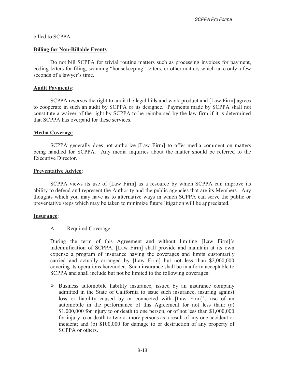#### billed to SCPPA.

#### **Billing for Non-Billable Events**:

Do not bill SCPPA for trivial routine matters such as processing invoices for payment, coding letters for filing, scanning "housekeeping" letters, or other matters which take only a few seconds of a lawyer's time.

#### **Audit Payments**:

 SCPPA reserves the right to audit the legal bills and work product and [Law Firm] agrees to cooperate in such an audit by SCPPA or its designee. Payments made by SCPPA shall not constitute a waiver of the right by SCPPA to be reimbursed by the law firm if it is determined that SCPPA has overpaid for these services.

#### **Media Coverage**:

SCPPA generally does not authorize [Law Firm] to offer media comment on matters being handled for SCPPA. Any media inquiries about the matter should be referred to the Executive Director.

#### **Preventative Advice**:

SCPPA views its use of [Law Firm] as a resource by which SCPPA can improve its ability to defend and represent the Authority and the public agencies that are its Members. Any thoughts which you may have as to alternative ways in which SCPPA can serve the public or preventative steps which may be taken to minimize future litigation will be appreciated.

#### **Insurance**:

## A. Required Coverage

During the term of this Agreement and without limiting [Law Firm]'s indemnification of SCPPA, [Law Firm] shall provide and maintain at its own expense a program of insurance having the coverages and limits customarily carried and actually arranged by [Law Firm] but not less than \$2,000,000 covering its operations hereunder. Such insurance shall be in a form acceptable to SCPPA and shall include but not be limited to the following coverages:

- Business automobile liability insurance, issued by an insurance company admitted in the State of California to issue such insurance, insuring against loss or liability caused by or connected with [Law Firm]'s use of an automobile in the performance of this Agreement for not less than: (a) \$1,000,000 for injury to or death to one person, or of not less than \$1,000,000 for injury to or death to two or more persons as a result of any one accident or incident; and (b) \$100,000 for damage to or destruction of any property of SCPPA or others.